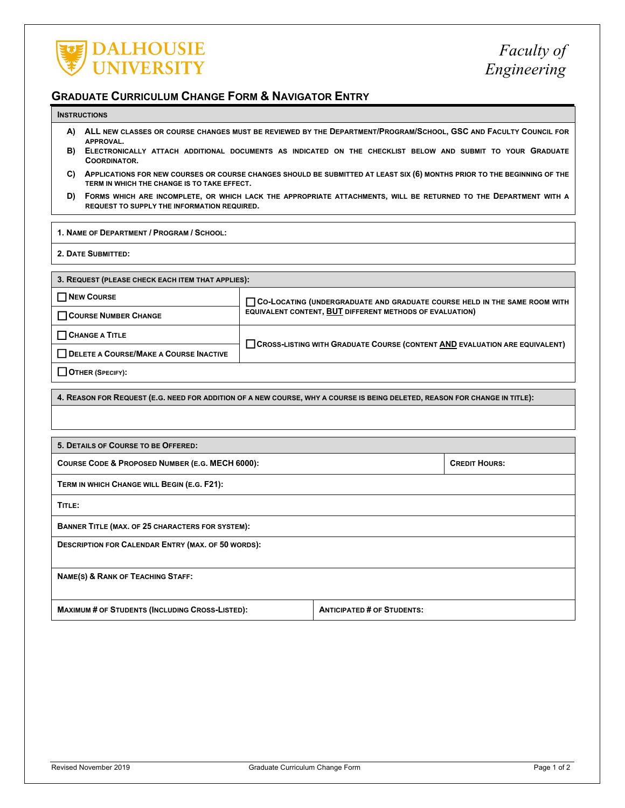

## **GRADUATE CURRICULUM CHANGE FORM & NAVIGATOR ENTRY**

## **INSTRUCTIONS**

- **A) ALL NEW CLASSES OR COURSE CHANGES MUST BE REVIEWED BY THE DEPARTMENT/PROGRAM/SCHOOL, GSC AND FACULTY COUNCIL FOR APPROVAL.**
- **B) ELECTRONICALLY ATTACH ADDITIONAL DOCUMENTS AS INDICATED ON THE CHECKLIST BELOW AND SUBMIT TO YOUR GRADUATE COORDINATOR.**
- **C) APPLICATIONS FOR NEW COURSES OR COURSE CHANGES SHOULD BE SUBMITTED AT LEAST SIX (6) MONTHS PRIOR TO THE BEGINNING OF THE TERM IN WHICH THE CHANGE IS TO TAKE EFFECT.**
- **D) FORMS WHICH ARE INCOMPLETE, OR WHICH LACK THE APPROPRIATE ATTACHMENTS, WILL BE RETURNED TO THE DEPARTMENT WITH A REQUEST TO SUPPLY THE INFORMATION REQUIRED.**

**1. NAME OF DEPARTMENT / PROGRAM / SCHOOL:**

**2. DATE SUBMITTED:**

| 3. REQUEST (PLEASE CHECK EACH ITEM THAT APPLIES): |                                                                                          |  |  |  |  |  |
|---------------------------------------------------|------------------------------------------------------------------------------------------|--|--|--|--|--|
| □ NEW COURSE                                      | $\sqcap$ Co-Locating (undergraduate and graduate course held in the same room with       |  |  |  |  |  |
| <b>COURSE NUMBER CHANGE</b>                       | EQUIVALENT CONTENT, BUT DIFFERENT METHODS OF EVALUATION)                                 |  |  |  |  |  |
| <b>CHANGE A TITLE</b>                             |                                                                                          |  |  |  |  |  |
| DELETE A COURSE/MAKE A COURSE INACTIVE            | <b>CROSS-LISTING WITH GRADUATE COURSE (CONTENT <u>AND</u> EVALUATION ARE EQUIVALENT)</b> |  |  |  |  |  |
| <b>OTHER (SPECIFY):</b>                           |                                                                                          |  |  |  |  |  |

**4. REASON FOR REQUEST (E.G. NEED FOR ADDITION OF A NEW COURSE, WHY A COURSE IS BEING DELETED, REASON FOR CHANGE IN TITLE):**

**5. DETAILS OF COURSE TO BE OFFERED:**

**COURSE CODE & PROPOSED NUMBER (E.G. MECH 6000): CREDIT HOURS: COURSE CODE & PROPOSED NUMBER (E.G. MECH 6000):** 

**TERM IN WHICH CHANGE WILL BEGIN (E.G. F21):** 

**TITLE:** 

**BANNER TITLE (MAX. OF 25 CHARACTERS FOR SYSTEM):** 

**DESCRIPTION FOR CALENDAR ENTRY (MAX. OF 50 WORDS):**

**NAME(S) & RANK OF TEACHING STAFF:**

**MAXIMUM # OF STUDENTS (INCLUDING CROSS-LISTED): ANTICIPATED # OF STUDENTS:**